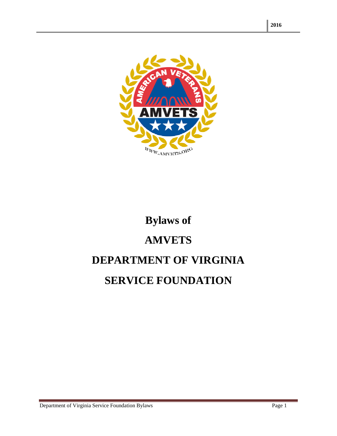

# **Bylaws of AMVETS DEPARTMENT OF VIRGINIA SERVICE FOUNDATION**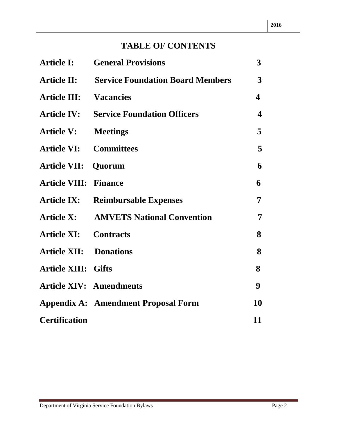## **TABLE OF CONTENTS**

| <b>Article I:</b>             | <b>General Provisions</b>                  | $\overline{3}$          |
|-------------------------------|--------------------------------------------|-------------------------|
| <b>Article II:</b>            | <b>Service Foundation Board Members</b>    | 3                       |
| <b>Article III:</b>           | <b>Vacancies</b>                           | $\overline{\mathbf{4}}$ |
| <b>Article IV:</b>            | <b>Service Foundation Officers</b>         | $\overline{\mathbf{4}}$ |
| <b>Article V:</b>             | <b>Meetings</b>                            | 5                       |
| <b>Article VI:</b>            | <b>Committees</b>                          | 5                       |
| <b>Article VII:</b>           | Quorum                                     | 6                       |
| <b>Article VIII:</b>          | <b>Finance</b>                             | 6                       |
| <b>Article IX:</b>            | <b>Reimbursable Expenses</b>               | 7                       |
| <b>Article X:</b>             | <b>AMVETS National Convention</b>          | 7                       |
| <b>Article XI:</b>            | <b>Contracts</b>                           | 8                       |
| <b>Article XII: Donations</b> |                                            | 8                       |
| <b>Article XIII: Gifts</b>    |                                            | 8                       |
|                               | <b>Article XIV: Amendments</b>             | 9                       |
|                               | <b>Appendix A: Amendment Proposal Form</b> | 10                      |
| <b>Certification</b>          |                                            | 11                      |

e.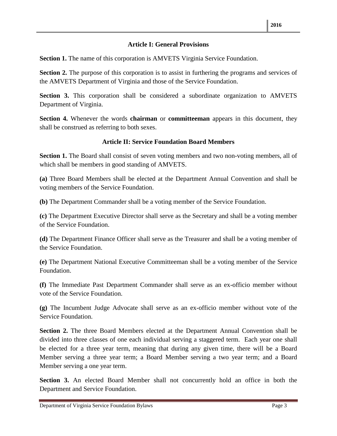#### **Article I: General Provisions**

**Section 1.** The name of this corporation is AMVETS Virginia Service Foundation.

**Section 2.** The purpose of this corporation is to assist in furthering the programs and services of the AMVETS Department of Virginia and those of the Service Foundation.

**Section 3.** This corporation shall be considered a subordinate organization to AMVETS Department of Virginia.

**Section 4.** Whenever the words **chairman** or **committeeman** appears in this document, they shall be construed as referring to both sexes.

#### **Article II: Service Foundation Board Members**

**Section 1.** The Board shall consist of seven voting members and two non-voting members, all of which shall be members in good standing of AMVETS.

**(a)** Three Board Members shall be elected at the Department Annual Convention and shall be voting members of the Service Foundation.

**(b)** The Department Commander shall be a voting member of the Service Foundation.

**(c)** The Department Executive Director shall serve as the Secretary and shall be a voting member of the Service Foundation.

**(d)** The Department Finance Officer shall serve as the Treasurer and shall be a voting member of the Service Foundation.

**(e)** The Department National Executive Committeeman shall be a voting member of the Service Foundation.

**(f)** The Immediate Past Department Commander shall serve as an ex-officio member without vote of the Service Foundation.

**(g)** The Incumbent Judge Advocate shall serve as an ex-officio member without vote of the Service Foundation.

**Section 2.** The three Board Members elected at the Department Annual Convention shall be divided into three classes of one each individual serving a staggered term. Each year one shall be elected for a three year term, meaning that during any given time, there will be a Board Member serving a three year term; a Board Member serving a two year term; and a Board Member serving a one year term.

**Section 3.** An elected Board Member shall not concurrently hold an office in both the Department and Service Foundation.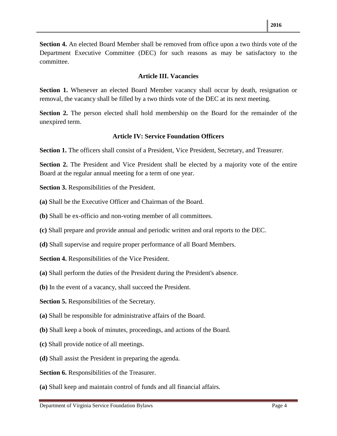**Section 4.** An elected Board Member shall be removed from office upon a two thirds vote of the Department Executive Committee (DEC) for such reasons as may be satisfactory to the committee.

#### **Article III. Vacancies**

Section 1. Whenever an elected Board Member vacancy shall occur by death, resignation or removal, the vacancy shall be filled by a two thirds vote of the DEC at its next meeting.

**Section 2.** The person elected shall hold membership on the Board for the remainder of the unexpired term.

#### **Article IV: Service Foundation Officers**

Section 1. The officers shall consist of a President, Vice President, Secretary, and Treasurer.

**Section 2.** The President and Vice President shall be elected by a majority vote of the entire Board at the regular annual meeting for a term of one year.

**Section 3.** Responsibilities of the President.

- **(a)** Shall be the Executive Officer and Chairman of the Board.
- **(b)** Shall be ex-officio and non-voting member of all committees.
- **(c)** Shall prepare and provide annual and periodic written and oral reports to the DEC.
- **(d)** Shall supervise and require proper performance of all Board Members.
- **Section 4.** Responsibilities of the Vice President.
- **(a)** Shall perform the duties of the President during the President's absence.
- **(b)** In the event of a vacancy, shall succeed the President.

**Section 5.** Responsibilities of the Secretary.

- **(a)** Shall be responsible for administrative affairs of the Board.
- **(b)** Shall keep a book of minutes, proceedings, and actions of the Board.
- **(c)** Shall provide notice of all meetings.
- **(d)** Shall assist the President in preparing the agenda.

**Section 6.** Responsibilities of the Treasurer.

**(a)** Shall keep and maintain control of funds and all financial affairs.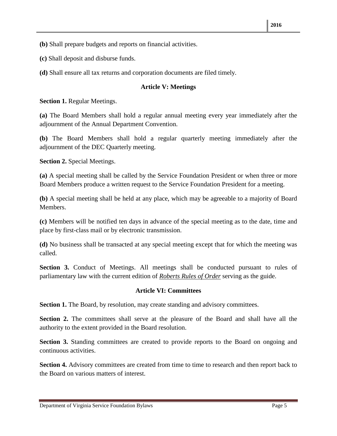- **(b)** Shall prepare budgets and reports on financial activities.
- **(c)** Shall deposit and disburse funds.
- **(d)** Shall ensure all tax returns and corporation documents are filed timely.

#### **Article V: Meetings**

**Section 1.** Regular Meetings.

**(a)** The Board Members shall hold a regular annual meeting every year immediately after the adjournment of the Annual Department Convention.

**(b)** The Board Members shall hold a regular quarterly meeting immediately after the adjournment of the DEC Quarterly meeting.

**Section 2.** Special Meetings.

**(a)** A special meeting shall be called by the Service Foundation President or when three or more Board Members produce a written request to the Service Foundation President for a meeting.

**(b)** A special meeting shall be held at any place, which may be agreeable to a majority of Board Members.

**(c)** Members will be notified ten days in advance of the special meeting as to the date, time and place by first-class mail or by electronic transmission.

**(d)** No business shall be transacted at any special meeting except that for which the meeting was called.

**Section 3.** Conduct of Meetings. All meetings shall be conducted pursuant to rules of parliamentary law with the current edition of *Roberts Rules of Order* serving as the guide.

#### **Article VI: Committees**

**Section 1.** The Board, by resolution, may create standing and advisory committees.

**Section 2.** The committees shall serve at the pleasure of the Board and shall have all the authority to the extent provided in the Board resolution.

Section 3. Standing committees are created to provide reports to the Board on ongoing and continuous activities.

**Section 4.** Advisory committees are created from time to time to research and then report back to the Board on various matters of interest.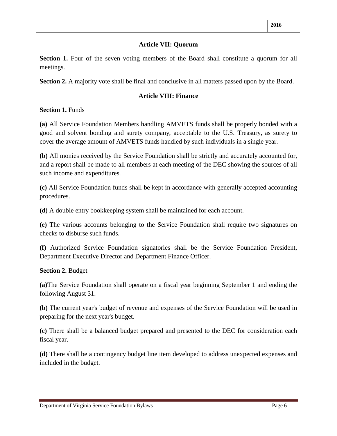#### **Article VII: Quorum**

**Section 1.** Four of the seven voting members of the Board shall constitute a quorum for all meetings.

**Section 2.** A majority vote shall be final and conclusive in all matters passed upon by the Board.

#### **Article VIII: Finance**

**Section 1.** Funds

**(a)** All Service Foundation Members handling AMVETS funds shall be properly bonded with a good and solvent bonding and surety company, acceptable to the U.S. Treasury, as surety to cover the average amount of AMVETS funds handled by such individuals in a single year.

**(b)** All monies received by the Service Foundation shall be strictly and accurately accounted for, and a report shall be made to all members at each meeting of the DEC showing the sources of all such income and expenditures.

**(c)** All Service Foundation funds shall be kept in accordance with generally accepted accounting procedures.

**(d)** A double entry bookkeeping system shall be maintained for each account.

**(e)** The various accounts belonging to the Service Foundation shall require two signatures on checks to disburse such funds.

**(f)** Authorized Service Foundation signatories shall be the Service Foundation President, Department Executive Director and Department Finance Officer.

#### **Section 2.** Budget

**(a)**The Service Foundation shall operate on a fiscal year beginning September 1 and ending the following August 31.

**(b)** The current year's budget of revenue and expenses of the Service Foundation will be used in preparing for the next year's budget.

**(c)** There shall be a balanced budget prepared and presented to the DEC for consideration each fiscal year.

**(d)** There shall be a contingency budget line item developed to address unexpected expenses and included in the budget.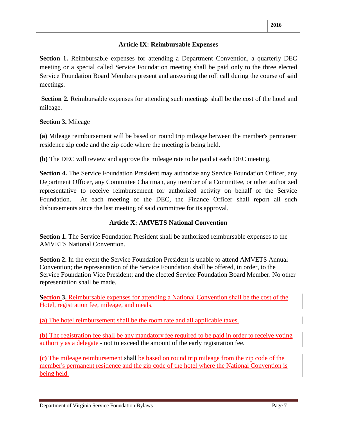#### **Article IX: Reimbursable Expenses**

**Section 1.** Reimbursable expenses for attending a Department Convention, a quarterly DEC meeting or a special called Service Foundation meeting shall be paid only to the three elected Service Foundation Board Members present and answering the roll call during the course of said meetings.

**Section 2.** Reimbursable expenses for attending such meetings shall be the cost of the hotel and mileage.

#### **Section 3.** Mileage

**(a)** Mileage reimbursement will be based on round trip mileage between the member's permanent residence zip code and the zip code where the meeting is being held.

**(b)** The DEC will review and approve the mileage rate to be paid at each DEC meeting.

**Section 4.** The Service Foundation President may authorize any Service Foundation Officer, any Department Officer, any Committee Chairman, any member of a Committee, or other authorized representative to receive reimbursement for authorized activity on behalf of the Service Foundation. At each meeting of the DEC, the Finance Officer shall report all such disbursements since the last meeting of said committee for its approval.

#### **Article X: AMVETS National Convention**

**Section 1.** The Service Foundation President shall be authorized reimbursable expenses to the AMVETS National Convention.

**Section 2.** In the event the Service Foundation President is unable to attend AMVETS Annual Convention; the representation of the Service Foundation shall be offered, in order, to the Service Foundation Vice President; and the elected Service Foundation Board Member. No other representation shall be made.

**Section 3.** Reimbursable expenses for attending a National Convention shall be the cost of the Hotel, registration fee, mileage, and meals.

**(a)** The hotel reimbursement shall be the room rate and all applicable taxes.

**(b)** The registration fee shall be any mandatory fee required to be paid in order to receive voting authority as a delegate - not to exceed the amount of the early registration fee.

**(c)** The mileage reimbursement shall be based on round trip mileage from the zip code of the member's permanent residence and the zip code of the hotel where the National Convention is being held.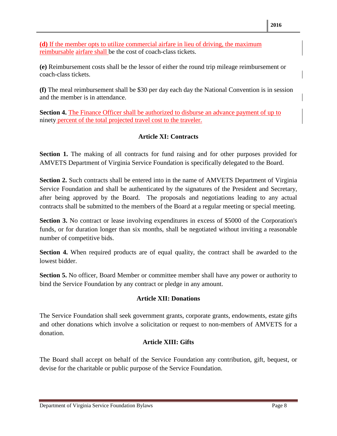**(d)** If the member opts to utilize commercial airfare in lieu of driving, the maximum reimbursable airfare shall be the cost of coach-class tickets.

**(e)** Reimbursement costs shall be the lessor of either the round trip mileage reimbursement or coach-class tickets.

**(f)** The meal reimbursement shall be \$30 per day each day the National Convention is in session and the member is in attendance.

**Section 4.** The Finance Officer shall be authorized to disburse an advance payment of up to ninety percent of the total projected travel cost to the traveler.

#### **Article XI: Contracts**

Section 1. The making of all contracts for fund raising and for other purposes provided for AMVETS Department of Virginia Service Foundation is specifically delegated to the Board.

**Section 2.** Such contracts shall be entered into in the name of AMVETS Department of Virginia Service Foundation and shall be authenticated by the signatures of the President and Secretary, after being approved by the Board. The proposals and negotiations leading to any actual contracts shall be submitted to the members of the Board at a regular meeting or special meeting.

**Section 3.** No contract or lease involving expenditures in excess of \$5000 of the Corporation's funds, or for duration longer than six months, shall be negotiated without inviting a reasonable number of competitive bids.

**Section 4.** When required products are of equal quality, the contract shall be awarded to the lowest bidder.

**Section 5.** No officer, Board Member or committee member shall have any power or authority to bind the Service Foundation by any contract or pledge in any amount.

#### **Article XII: Donations**

The Service Foundation shall seek government grants, corporate grants, endowments, estate gifts and other donations which involve a solicitation or request to non-members of AMVETS for a donation.

#### **Article XIII: Gifts**

The Board shall accept on behalf of the Service Foundation any contribution, gift, bequest, or devise for the charitable or public purpose of the Service Foundation.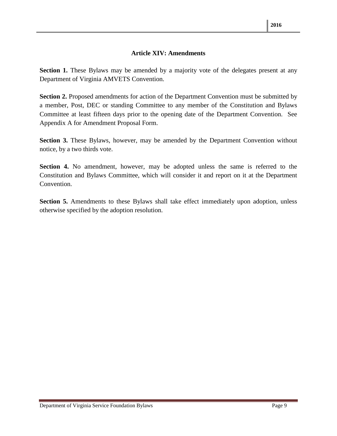#### **Article XIV: Amendments**

**Section 1.** These Bylaws may be amended by a majority vote of the delegates present at any Department of Virginia AMVETS Convention.

**Section 2.** Proposed amendments for action of the Department Convention must be submitted by a member, Post, DEC or standing Committee to any member of the Constitution and Bylaws Committee at least fifteen days prior to the opening date of the Department Convention. See Appendix A for Amendment Proposal Form.

**Section 3.** These Bylaws, however, may be amended by the Department Convention without notice, by a two thirds vote.

**Section 4.** No amendment, however, may be adopted unless the same is referred to the Constitution and Bylaws Committee, which will consider it and report on it at the Department Convention.

**Section 5.** Amendments to these Bylaws shall take effect immediately upon adoption, unless otherwise specified by the adoption resolution.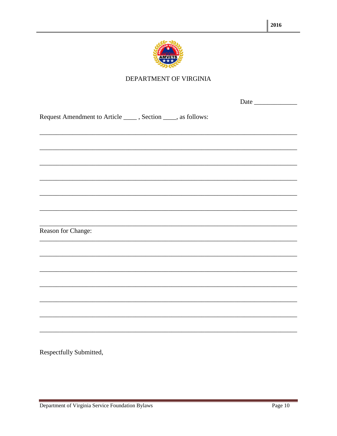

### DEPARTMENT OF VIRGINIA

|                                                                                                                       | Date |
|-----------------------------------------------------------------------------------------------------------------------|------|
| Request Amendment to Article ______, Section _____, as follows:                                                       |      |
|                                                                                                                       |      |
|                                                                                                                       |      |
| <u> 1989 - Johann Harry Harry Harry Harry Harry Harry Harry Harry Harry Harry Harry Harry Harry Harry Harry Harry</u> |      |
|                                                                                                                       |      |
|                                                                                                                       |      |
| <u> 1989 - Johann John Stoff, deutscher Stoffen und der Stoffen und der Stoffen und der Stoffen und der Stoffen</u>   |      |
| Reason for Change:                                                                                                    |      |
|                                                                                                                       |      |
|                                                                                                                       |      |
|                                                                                                                       |      |
|                                                                                                                       |      |
|                                                                                                                       |      |
|                                                                                                                       |      |
|                                                                                                                       |      |

Respectfully Submitted,